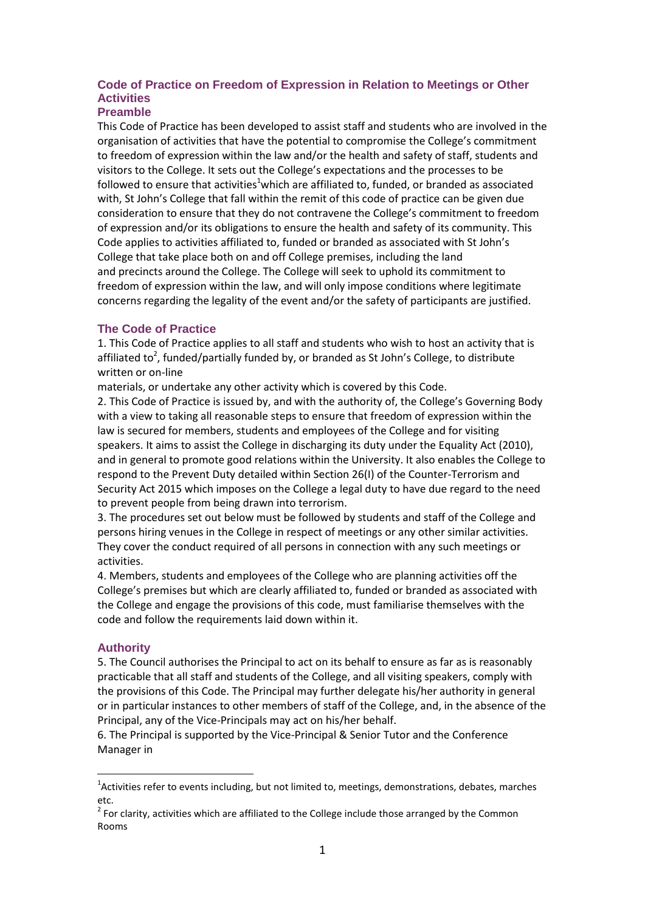# **Code of Practice on Freedom of Expression in Relation to Meetings or Other Activities**

#### **Preamble**

This Code of Practice has been developed to assist staff and students who are involved in the organisation of activities that have the potential to compromise the College's commitment to freedom of expression within the law and/or the health and safety of staff, students and visitors to the College. It sets out the College's expectations and the processes to be followed to ensure that activities<sup>1</sup>which are affiliated to, funded, or branded as associated with, St John's College that fall within the remit of this code of practice can be given due consideration to ensure that they do not contravene the College's commitment to freedom of expression and/or its obligations to ensure the health and safety of its community. This Code applies to activities affiliated to, funded or branded as associated with St John's College that take place both on and off College premises, including the land and precincts around the College. The College will seek to uphold its commitment to freedom of expression within the law, and will only impose conditions where legitimate concerns regarding the legality of the event and/or the safety of participants are justified.

#### **The Code of Practice**

1. This Code of Practice applies to all staff and students who wish to host an activity that is affiliated to<sup>2</sup>, funded/partially funded by, or branded as St John's College, to distribute written or on-line

materials, or undertake any other activity which is covered by this Code.

2. This Code of Practice is issued by, and with the authority of, the College's Governing Body with a view to taking all reasonable steps to ensure that freedom of expression within the law is secured for members, students and employees of the College and for visiting speakers. It aims to assist the College in discharging its duty under the Equality Act (2010), and in general to promote good relations within the University. It also enables the College to respond to the Prevent Duty detailed within Section 26(I) of the Counter-Terrorism and Security Act 2015 which imposes on the College a legal duty to have due regard to the need to prevent people from being drawn into terrorism.

3. The procedures set out below must be followed by students and staff of the College and persons hiring venues in the College in respect of meetings or any other similar activities. They cover the conduct required of all persons in connection with any such meetings or activities.

4. Members, students and employees of the College who are planning activities off the College's premises but which are clearly affiliated to, funded or branded as associated with the College and engage the provisions of this code, must familiarise themselves with the code and follow the requirements laid down within it.

### **Authority**

<u>.</u>

5. The Council authorises the Principal to act on its behalf to ensure as far as is reasonably practicable that all staff and students of the College, and all visiting speakers, comply with the provisions of this Code. The Principal may further delegate his/her authority in general or in particular instances to other members of staff of the College, and, in the absence of the Principal, any of the Vice-Principals may act on his/her behalf.

6. The Principal is supported by the Vice-Principal & Senior Tutor and the Conference Manager in

 $1/2$ Activities refer to events including, but not limited to, meetings, demonstrations, debates, marches etc.

 $2$  For clarity, activities which are affiliated to the College include those arranged by the Common Rooms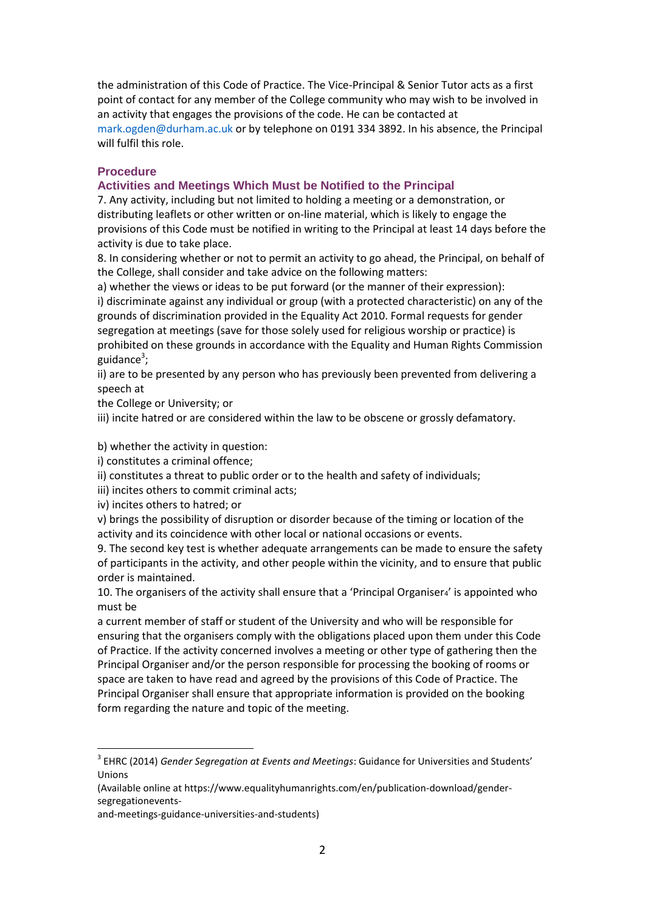the administration of this Code of Practice. The Vice-Principal & Senior Tutor acts as a first point of contact for any member of the College community who may wish to be involved in an activity that engages the provisions of the code. He can be contacted at mark.ogden@durham.ac.uk or by telephone on 0191 334 3892. In his absence, the Principal will fulfil this role.

#### **Procedure**

#### **Activities and Meetings Which Must be Notified to the Principal**

7. Any activity, including but not limited to holding a meeting or a demonstration, or distributing leaflets or other written or on-line material, which is likely to engage the provisions of this Code must be notified in writing to the Principal at least 14 days before the activity is due to take place.

8. In considering whether or not to permit an activity to go ahead, the Principal, on behalf of the College, shall consider and take advice on the following matters:

a) whether the views or ideas to be put forward (or the manner of their expression): i) discriminate against any individual or group (with a protected characteristic) on any of the grounds of discrimination provided in the Equality Act 2010. Formal requests for gender segregation at meetings (save for those solely used for religious worship or practice) is prohibited on these grounds in accordance with the Equality and Human Rights Commission guidance<sup>3</sup>;

ii) are to be presented by any person who has previously been prevented from delivering a speech at

the College or University; or

iii) incite hatred or are considered within the law to be obscene or grossly defamatory.

b) whether the activity in question:

i) constitutes a criminal offence;

ii) constitutes a threat to public order or to the health and safety of individuals;

iii) incites others to commit criminal acts;

iv) incites others to hatred; or

1

v) brings the possibility of disruption or disorder because of the timing or location of the activity and its coincidence with other local or national occasions or events.

9. The second key test is whether adequate arrangements can be made to ensure the safety of participants in the activity, and other people within the vicinity, and to ensure that public order is maintained.

10. The organisers of the activity shall ensure that a 'Principal Organiser4' is appointed who must be

a current member of staff or student of the University and who will be responsible for ensuring that the organisers comply with the obligations placed upon them under this Code of Practice. If the activity concerned involves a meeting or other type of gathering then the Principal Organiser and/or the person responsible for processing the booking of rooms or space are taken to have read and agreed by the provisions of this Code of Practice. The Principal Organiser shall ensure that appropriate information is provided on the booking form regarding the nature and topic of the meeting.

<sup>3</sup> EHRC (2014) *Gender Segregation at Events and Meetings*: Guidance for Universities and Students' Unions

<sup>(</sup>Available online at https://www.equalityhumanrights.com/en/publication-download/gendersegregationevents-

and-meetings-guidance-universities-and-students)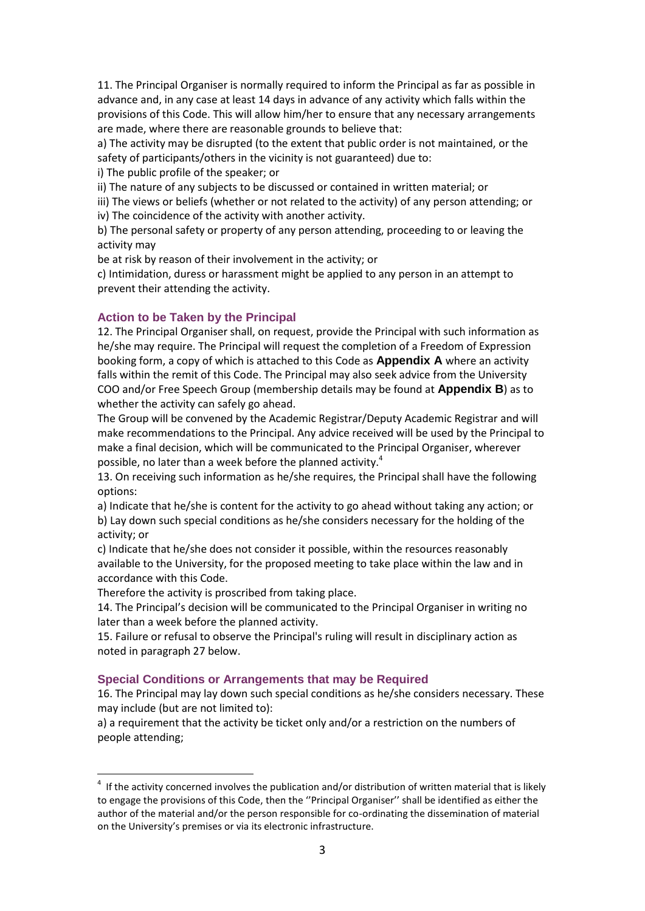11. The Principal Organiser is normally required to inform the Principal as far as possible in advance and, in any case at least 14 days in advance of any activity which falls within the provisions of this Code. This will allow him/her to ensure that any necessary arrangements are made, where there are reasonable grounds to believe that:

a) The activity may be disrupted (to the extent that public order is not maintained, or the safety of participants/others in the vicinity is not guaranteed) due to:

i) The public profile of the speaker; or

ii) The nature of any subjects to be discussed or contained in written material; or

iii) The views or beliefs (whether or not related to the activity) of any person attending; or iv) The coincidence of the activity with another activity.

b) The personal safety or property of any person attending, proceeding to or leaving the activity may

be at risk by reason of their involvement in the activity; or

c) Intimidation, duress or harassment might be applied to any person in an attempt to prevent their attending the activity.

## **Action to be Taken by the Principal**

12. The Principal Organiser shall, on request, provide the Principal with such information as he/she may require. The Principal will request the completion of a Freedom of Expression booking form, a copy of which is attached to this Code as **Appendix A** where an activity falls within the remit of this Code. The Principal may also seek advice from the University COO and/or Free Speech Group (membership details may be found at **Appendix B**) as to whether the activity can safely go ahead.

The Group will be convened by the Academic Registrar/Deputy Academic Registrar and will make recommendations to the Principal. Any advice received will be used by the Principal to make a final decision, which will be communicated to the Principal Organiser, wherever possible, no later than a week before the planned activity.<sup>4</sup>

13. On receiving such information as he/she requires, the Principal shall have the following options:

a) Indicate that he/she is content for the activity to go ahead without taking any action; or b) Lay down such special conditions as he/she considers necessary for the holding of the activity; or

c) Indicate that he/she does not consider it possible, within the resources reasonably available to the University, for the proposed meeting to take place within the law and in accordance with this Code.

Therefore the activity is proscribed from taking place.

<u>.</u>

14. The Principal's decision will be communicated to the Principal Organiser in writing no later than a week before the planned activity.

15. Failure or refusal to observe the Principal's ruling will result in disciplinary action as noted in paragraph 27 below.

### **Special Conditions or Arrangements that may be Required**

16. The Principal may lay down such special conditions as he/she considers necessary. These may include (but are not limited to):

a) a requirement that the activity be ticket only and/or a restriction on the numbers of people attending;

 $4$  If the activity concerned involves the publication and/or distribution of written material that is likely to engage the provisions of this Code, then the "Principal Organiser" shall be identified as either the author of the material and/or the person responsible for co-ordinating the dissemination of material on the University's premises or via its electronic infrastructure.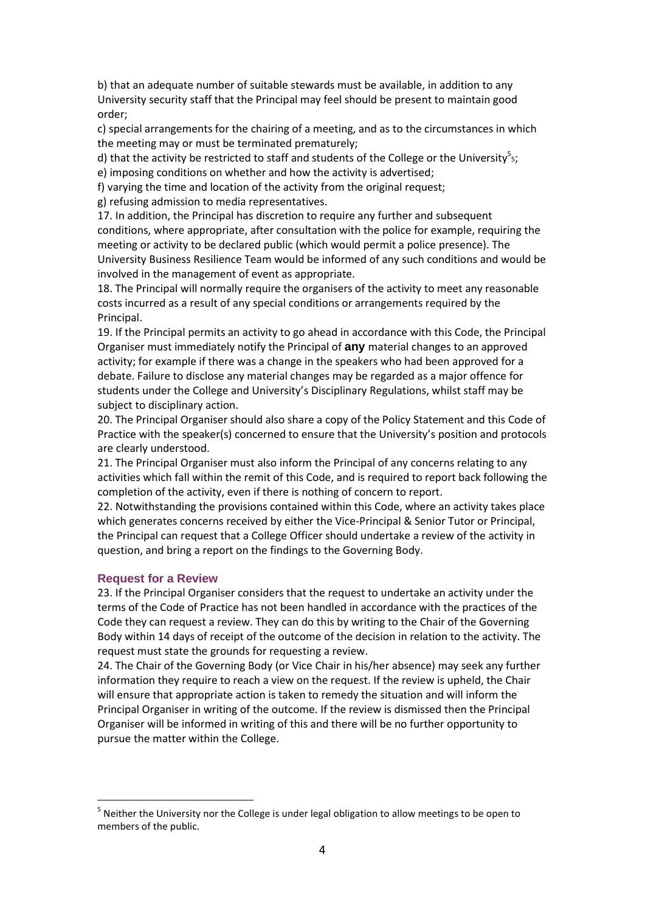b) that an adequate number of suitable stewards must be available, in addition to any University security staff that the Principal may feel should be present to maintain good order;

c) special arrangements for the chairing of a meeting, and as to the circumstances in which the meeting may or must be terminated prematurely;

d) that the activity be restricted to staff and students of the College or the University<sup>5</sup>s; e) imposing conditions on whether and how the activity is advertised;

f) varying the time and location of the activity from the original request;

g) refusing admission to media representatives.

17. In addition, the Principal has discretion to require any further and subsequent conditions, where appropriate, after consultation with the police for example, requiring the meeting or activity to be declared public (which would permit a police presence). The University Business Resilience Team would be informed of any such conditions and would be involved in the management of event as appropriate.

18. The Principal will normally require the organisers of the activity to meet any reasonable costs incurred as a result of any special conditions or arrangements required by the Principal.

19. If the Principal permits an activity to go ahead in accordance with this Code, the Principal Organiser must immediately notify the Principal of **any** material changes to an approved activity; for example if there was a change in the speakers who had been approved for a debate. Failure to disclose any material changes may be regarded as a major offence for students under the College and University's Disciplinary Regulations, whilst staff may be subject to disciplinary action.

20. The Principal Organiser should also share a copy of the Policy Statement and this Code of Practice with the speaker(s) concerned to ensure that the University's position and protocols are clearly understood.

21. The Principal Organiser must also inform the Principal of any concerns relating to any activities which fall within the remit of this Code, and is required to report back following the completion of the activity, even if there is nothing of concern to report.

22. Notwithstanding the provisions contained within this Code, where an activity takes place which generates concerns received by either the Vice-Principal & Senior Tutor or Principal, the Principal can request that a College Officer should undertake a review of the activity in question, and bring a report on the findings to the Governing Body.

#### **Request for a Review**

<u>.</u>

23. If the Principal Organiser considers that the request to undertake an activity under the terms of the Code of Practice has not been handled in accordance with the practices of the Code they can request a review. They can do this by writing to the Chair of the Governing Body within 14 days of receipt of the outcome of the decision in relation to the activity. The request must state the grounds for requesting a review.

24. The Chair of the Governing Body (or Vice Chair in his/her absence) may seek any further information they require to reach a view on the request. If the review is upheld, the Chair will ensure that appropriate action is taken to remedy the situation and will inform the Principal Organiser in writing of the outcome. If the review is dismissed then the Principal Organiser will be informed in writing of this and there will be no further opportunity to pursue the matter within the College.

<sup>&</sup>lt;sup>5</sup> Neither the University nor the College is under legal obligation to allow meetings to be open to members of the public.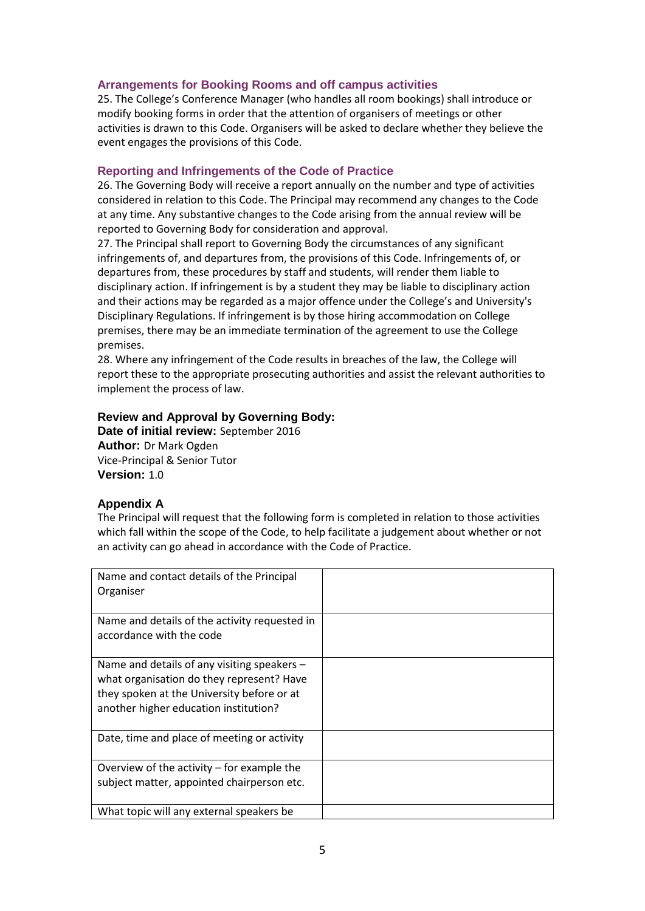### **Arrangements for Booking Rooms and off campus activities**

25. The College's Conference Manager (who handles all room bookings) shall introduce or modify booking forms in order that the attention of organisers of meetings or other activities is drawn to this Code. Organisers will be asked to declare whether they believe the event engages the provisions of this Code.

#### **Reporting and Infringements of the Code of Practice**

26. The Governing Body will receive a report annually on the number and type of activities considered in relation to this Code. The Principal may recommend any changes to the Code at any time. Any substantive changes to the Code arising from the annual review will be reported to Governing Body for consideration and approval.

27. The Principal shall report to Governing Body the circumstances of any significant infringements of, and departures from, the provisions of this Code. Infringements of, or departures from, these procedures by staff and students, will render them liable to disciplinary action. If infringement is by a student they may be liable to disciplinary action and their actions may be regarded as a major offence under the College's and University's Disciplinary Regulations. If infringement is by those hiring accommodation on College premises, there may be an immediate termination of the agreement to use the College premises.

28. Where any infringement of the Code results in breaches of the law, the College will report these to the appropriate prosecuting authorities and assist the relevant authorities to implement the process of law.

### **Review and Approval by Governing Body:**

**Date of initial review:** September 2016 **Author:** Dr Mark Ogden Vice-Principal & Senior Tutor **Version:** 1.0

### **Appendix A**

The Principal will request that the following form is completed in relation to those activities which fall within the scope of the Code, to help facilitate a judgement about whether or not an activity can go ahead in accordance with the Code of Practice.

| Name and contact details of the Principal<br>Organiser                                                                                                                            |  |
|-----------------------------------------------------------------------------------------------------------------------------------------------------------------------------------|--|
| Name and details of the activity requested in<br>accordance with the code                                                                                                         |  |
| Name and details of any visiting speakers $-$<br>what organisation do they represent? Have<br>they spoken at the University before or at<br>another higher education institution? |  |
| Date, time and place of meeting or activity                                                                                                                                       |  |
| Overview of the activity - for example the<br>subject matter, appointed chairperson etc.                                                                                          |  |
| What topic will any external speakers be                                                                                                                                          |  |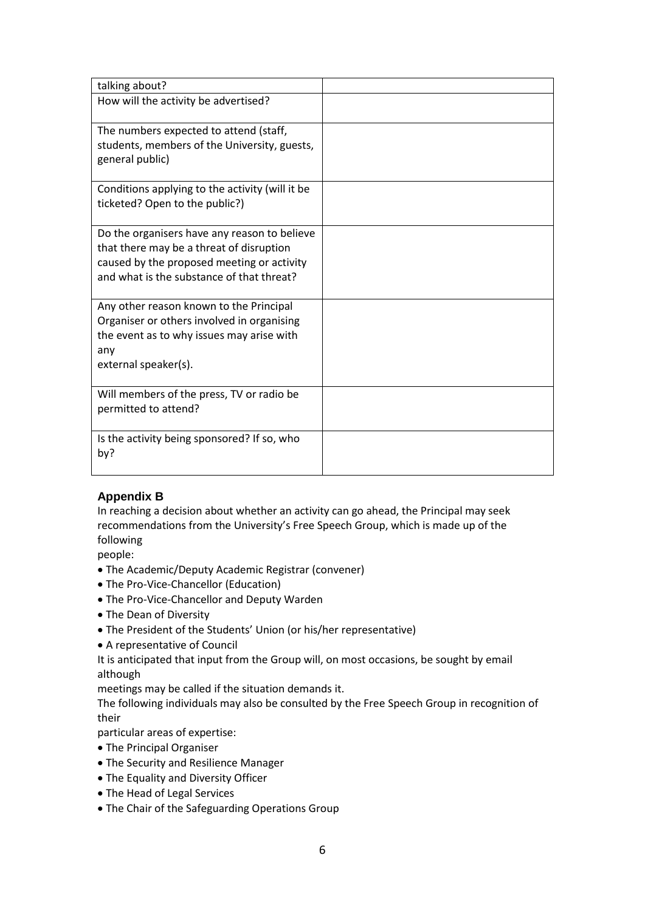| talking about?                                                                    |  |
|-----------------------------------------------------------------------------------|--|
| How will the activity be advertised?                                              |  |
| The numbers expected to attend (staff,                                            |  |
| students, members of the University, guests,<br>general public)                   |  |
| Conditions applying to the activity (will it be<br>ticketed? Open to the public?) |  |
| Do the organisers have any reason to believe                                      |  |
| that there may be a threat of disruption                                          |  |
| caused by the proposed meeting or activity                                        |  |
| and what is the substance of that threat?                                         |  |
| Any other reason known to the Principal                                           |  |
| Organiser or others involved in organising                                        |  |
| the event as to why issues may arise with                                         |  |
| any                                                                               |  |
| external speaker(s).                                                              |  |
| Will members of the press, TV or radio be                                         |  |
| permitted to attend?                                                              |  |
|                                                                                   |  |
| Is the activity being sponsored? If so, who                                       |  |
| by?                                                                               |  |
|                                                                                   |  |

# **Appendix B**

In reaching a decision about whether an activity can go ahead, the Principal may seek recommendations from the University's Free Speech Group, which is made up of the following

people:

- The Academic/Deputy Academic Registrar (convener)
- The Pro-Vice-Chancellor (Education)
- The Pro-Vice-Chancellor and Deputy Warden
- The Dean of Diversity
- The President of the Students' Union (or his/her representative)
- A representative of Council

It is anticipated that input from the Group will, on most occasions, be sought by email although

meetings may be called if the situation demands it.

The following individuals may also be consulted by the Free Speech Group in recognition of their

particular areas of expertise:

- The Principal Organiser
- The Security and Resilience Manager
- The Equality and Diversity Officer
- The Head of Legal Services
- The Chair of the Safeguarding Operations Group